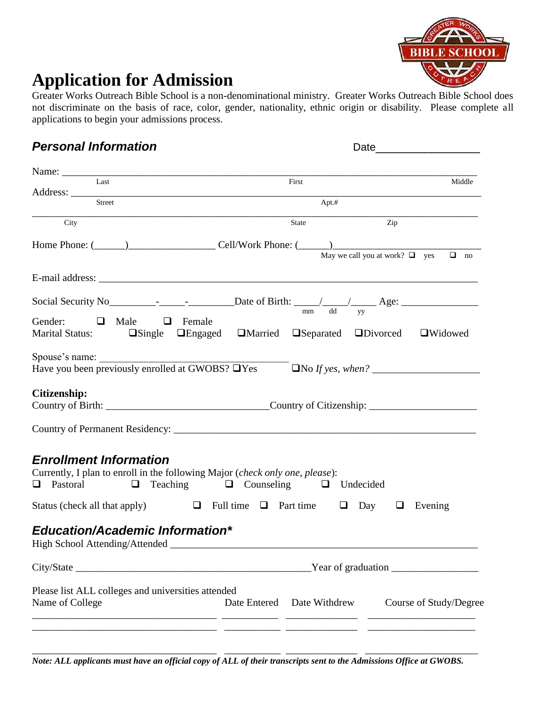

## **Application for Admission**

Greater Works Outreach Bible School is a non-denominational ministry. Greater Works Outreach Bible School does not discriminate on the basis of race, color, gender, nationality, ethnic origin or disability. Please complete all applications to begin your admissions process.

## *Personal Information* Date\_\_\_\_\_\_\_\_\_\_\_\_\_\_\_

| $\overline{L}$ ast                                                                                                                                                  | First                                                                                                                                                                                                                          | Middle                                           |  |
|---------------------------------------------------------------------------------------------------------------------------------------------------------------------|--------------------------------------------------------------------------------------------------------------------------------------------------------------------------------------------------------------------------------|--------------------------------------------------|--|
|                                                                                                                                                                     |                                                                                                                                                                                                                                |                                                  |  |
| Street                                                                                                                                                              | Apt.#                                                                                                                                                                                                                          |                                                  |  |
| City                                                                                                                                                                | <b>State</b>                                                                                                                                                                                                                   | Zip                                              |  |
|                                                                                                                                                                     | Home Phone: (Champion Cell/Work Phone: (Champion Cell/Work Phone: (Champion Cell/Work Phone: (Champion Cell/Work Phone: (Champion Cell/Work Phone: (Champion Cell/Work Phone: (Champion Cell/Work Phone: (Champion Cell/Work P | May we call you at work? $\Box$ yes<br>$\Box$ no |  |
|                                                                                                                                                                     |                                                                                                                                                                                                                                |                                                  |  |
|                                                                                                                                                                     |                                                                                                                                                                                                                                |                                                  |  |
| Gender:<br>Male<br>$\Box$<br>Female<br>$\Box$<br>Marital Status: Dingle Dengaged DMarried                                                                           | $\Box$ Separated $\Box$ Divorced                                                                                                                                                                                               | <b>O</b> Widowed                                 |  |
| Spouse's name: $\frac{1}{\sqrt{1-\frac{1}{2}} \cdot \frac{1}{2}}$<br>Have you been previously enrolled at GWOBS? LYes                                               |                                                                                                                                                                                                                                | $\Box$ No If yes, when? $\Box$                   |  |
| Citizenship:                                                                                                                                                        |                                                                                                                                                                                                                                |                                                  |  |
|                                                                                                                                                                     |                                                                                                                                                                                                                                |                                                  |  |
| <b>Enrollment Information</b><br>Currently, I plan to enroll in the following Major (check only one, please):<br><b>Q</b> Pastoral<br>Status (check all that apply) | $\Box$ Teaching $\Box$ Counseling<br>$\Box$ Undecided<br>$\Box$ Full time $\Box$ Part time $\Box$ Day $\Box$                                                                                                                   | Evening                                          |  |
| <b>Education/Academic Information*</b>                                                                                                                              |                                                                                                                                                                                                                                |                                                  |  |
|                                                                                                                                                                     |                                                                                                                                                                                                                                |                                                  |  |
| Please list ALL colleges and universities attended<br>Name of College                                                                                               | Date Entered Date Withdrew                                                                                                                                                                                                     | Course of Study/Degree                           |  |

*Note: ALL applicants must have an official copy of ALL of their transcripts sent to the Admissions Office at GWOBS.*

\_\_\_\_\_\_\_\_\_\_\_\_\_\_\_\_\_\_\_\_\_\_\_\_\_\_\_\_\_\_\_\_\_\_\_\_ \_\_\_\_\_\_\_\_\_\_\_ \_\_\_\_\_\_\_\_\_\_\_\_\_\_ \_\_\_\_\_\_\_\_\_\_\_\_\_\_\_\_\_\_\_\_\_\_